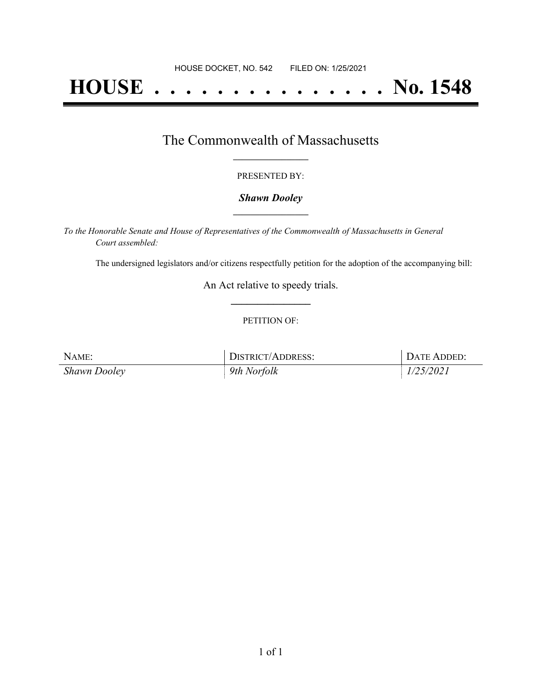# **HOUSE . . . . . . . . . . . . . . . No. 1548**

### The Commonwealth of Massachusetts **\_\_\_\_\_\_\_\_\_\_\_\_\_\_\_\_\_**

#### PRESENTED BY:

#### *Shawn Dooley* **\_\_\_\_\_\_\_\_\_\_\_\_\_\_\_\_\_**

*To the Honorable Senate and House of Representatives of the Commonwealth of Massachusetts in General Court assembled:*

The undersigned legislators and/or citizens respectfully petition for the adoption of the accompanying bill:

An Act relative to speedy trials. **\_\_\_\_\_\_\_\_\_\_\_\_\_\_\_**

#### PETITION OF:

| NAME:        | DISTRICT/ADDRESS: | DATE ADDED: |
|--------------|-------------------|-------------|
| Shawn Dooley | 9th Norfolk       | 1/25/2021   |